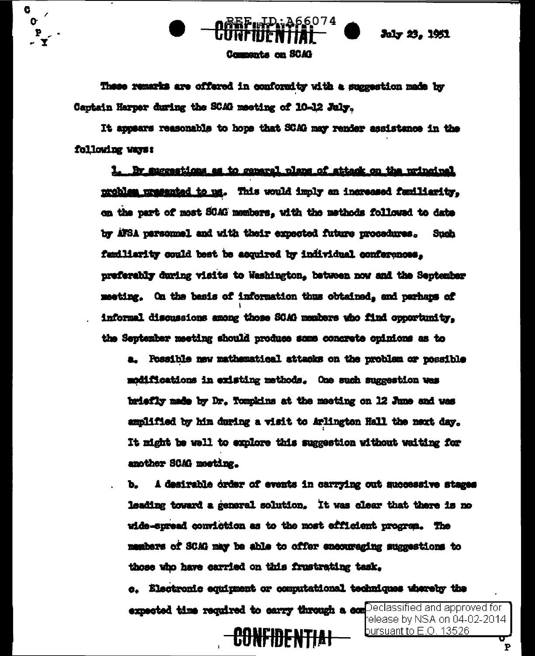July 23, 1951



G  $\mathbf{a}$ P

> These remarks are offered in conformity with a suggestion made by Captain Harper during the SCAG meeting of 10-12 July.

It appears reasonable to hope that SCAG may render assistance in the following ways:

1. By suggestions as to general plans of attack on the principal problem presented to us. This would imply an increased familiarity. on the part of most SCAG members, with the methods followed to date by AFSA parsonmel and with their expected future procedures. Such familiarity could best be acquired by individual conferences, preferably during visits to Washington, between now and the September meeting. On the basis of information thus obtained, and parhans of informal discussions among those SOAG members who find opportunity. the September meeting should produce some concrete opinions as to

a. Possible new mathematical attacks on the problem or possible modifications in existing methods. One such suggestion was briefly made by Dr. Tompkins at the meeting on 12 June and was amplified by him during a visit to Arlington Hall the next day. It might be well to explore this suggestion without waiting for another SCAG meeting.

A desirable order of events in carrying out successive stages Ъ. leading toward a general solution. It was clear that there is no wide-spread conviction as to the most efficient program. The members of SCAG may be able to offer encouraging suggestions to those who have carried on this frustrating task,

c. Electronic equipment or computational techniques whereby the expected time required to carry through a compediassified and approved for elease by NSA on 04-02-2014

bursuant to  $E.O.$  13526

P

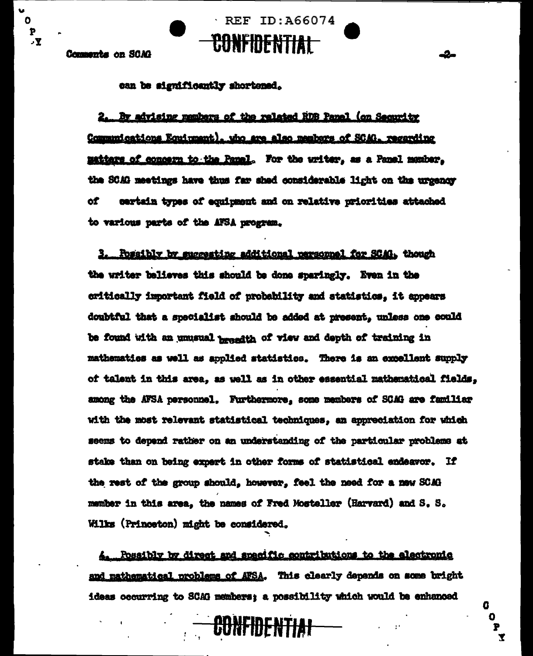Comments on SCAG

v  $\mathbf{o}$ 

 $\mathbf{p}$ 

,у

can be significantly shortened.

2. By advising members of the related RDB Panel (on Security Communications Equinment), who are also members of SCAG, regarding matters of concern to the Panel. For the writer, as a Panel mamber. the SCAR meetings have thus far shed considerable light on the urgency certain types of equipment and on relative priorities attached оŤ to various parts of the AFSA program.

 $\cdot$  REF ID: A66074

CONFIDENTIAL

3. Possibly by succesting additional personnel for SCAG, though the writer believes this should be done sparingly. Even in the critically important field of probability and statistics. it appears doubtful that a specialist should be added at present, unless one could be found with an unusual peopleth of view and depth of training in mathematics as well as applied statistics. There is an excellent supply of talent in this area, as well as in other essential mathematical fields. among the AFSA personnel. Furthermore, some members of SCAG are familiar with the most relevant statistical techniques, an appreciation for which seems to depend rather on an understanding of the particular problems at stake than on being expert in other forms of statistical endeavor. If the rest of the group should, however, feel the need for a new SCAG member in this area, the names of Fred Mosteller (Harvard) and S. S. Wilks (Princeton) might be considered.

4. Possibly by direct and spacific contributions to the electronic and mathematical problems of AFSA. This clearly depends on some bright ideas occurring to SCAG members; a possibility which would be enhanced

<del>CONFIDENTIAL</del>



-2-